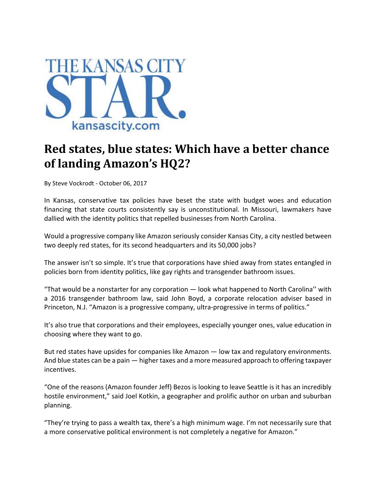

## **Red states, blue states: Which have a better chance of landing Amazon's HQ2?**

By Steve Vockrodt ‐ October 06, 2017

In Kansas, conservative tax policies have beset the state with budget woes and education financing that state courts consistently say is unconstitutional. In Missouri, lawmakers have dallied with the identity politics that repelled businesses from North Carolina.

Would a progressive company like Amazon seriously consider Kansas City, a city nestled between two deeply red states, for its second headquarters and its 50,000 jobs?

The answer isn't so simple. It's true that corporations have shied away from states entangled in policies born from identity politics, like gay rights and transgender bathroom issues.

"That would be a nonstarter for any corporation — look what happened to North Carolina'' with a 2016 transgender bathroom law, said John Boyd, a corporate relocation adviser based in Princeton, N.J. "Amazon is a progressive company, ultra‐progressive in terms of politics."

It's also true that corporations and their employees, especially younger ones, value education in choosing where they want to go.

But red states have upsides for companies like Amazon — low tax and regulatory environments. And blue states can be a pain — higher taxes and a more measured approach to offering taxpayer incentives.

"One of the reasons (Amazon founder Jeff) Bezos is looking to leave Seattle is it has an incredibly hostile environment," said Joel Kotkin, a geographer and prolific author on urban and suburban planning.

"They're trying to pass a wealth tax, there's a high minimum wage. I'm not necessarily sure that a more conservative political environment is not completely a negative for Amazon."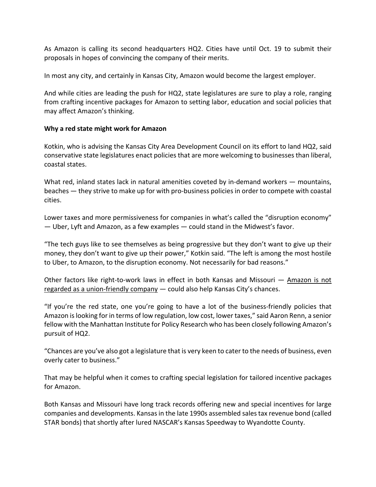As Amazon is calling its second headquarters HQ2. Cities have until Oct. 19 to submit their proposals in hopes of convincing the company of their merits.

In most any city, and certainly in Kansas City, Amazon would become the largest employer.

And while cities are leading the push for HQ2, state legislatures are sure to play a role, ranging from crafting incentive packages for Amazon to setting labor, education and social policies that may affect Amazon's thinking.

## **Why a red state might work for Amazon**

Kotkin, who is advising the Kansas City Area Development Council on its effort to land HQ2, said conservative state legislatures enact policies that are more welcoming to businesses than liberal, coastal states.

What red, inland states lack in natural amenities coveted by in-demand workers — mountains, beaches — they strive to make up for with pro-business policies in order to compete with coastal cities.

Lower taxes and more permissiveness for companies in what's called the "disruption economy" — Uber, Lyft and Amazon, as a few examples — could stand in the Midwest's favor.

"The tech guys like to see themselves as being progressive but they don't want to give up their money, they don't want to give up their power," Kotkin said. "The left is among the most hostile to Uber, to Amazon, to the disruption economy. Not necessarily for bad reasons."

Other factors like right-to-work laws in effect in both Kansas and Missouri — Amazon is not regarded as a union-friendly company  $-$  could also help Kansas City's chances.

"If you're the red state, one you're going to have a lot of the business‐friendly policies that Amazon islooking for in terms of low regulation, low cost, lower taxes," said Aaron Renn, a senior fellow with the Manhattan Institute for Policy Research who has been closely following Amazon's pursuit of HQ2.

"Chances are you've also got a legislature that is very keen to cater to the needs of business, even overly cater to business."

That may be helpful when it comes to crafting special legislation for tailored incentive packages for Amazon.

Both Kansas and Missouri have long track records offering new and special incentives for large companies and developments. Kansas in the late 1990s assembled sales tax revenue bond (called STAR bonds) that shortly after lured NASCAR's Kansas Speedway to Wyandotte County.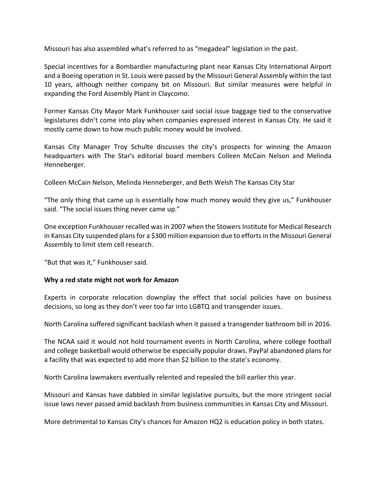Missouri has also assembled what's referred to as "megadeal" legislation in the past.

Special incentives for a Bombardier manufacturing plant near Kansas City International Airport and a Boeing operation in St. Louis were passed by the Missouri General Assembly within the last 10 years, although neither company bit on Missouri. But similar measures were helpful in expanding the Ford Assembly Plant in Claycomo.

Former Kansas City Mayor Mark Funkhouser said social issue baggage tied to the conservative legislatures didn't come into play when companies expressed interest in Kansas City. He said it mostly came down to how much public money would be involved.

Kansas City Manager Troy Schulte discusses the city's prospects for winning the Amazon headquarters with The Star's editorial board members Colleen McCain Nelson and Melinda Henneberger.

Colleen McCain Nelson, Melinda Henneberger, and Beth Welsh The Kansas City Star

"The only thing that came up is essentially how much money would they give us," Funkhouser said. "The social issues thing never came up."

One exception Funkhouser recalled was in 2007 when the Stowers Institute for Medical Research in Kansas City suspended plans for a \$300 million expansion due to efforts in the Missouri General Assembly to limit stem cell research.

"But that was it," Funkhouser said.

## **Why a red state might not work for Amazon**

Experts in corporate relocation downplay the effect that social policies have on business decisions, so long as they don't veer too far into LGBTQ and transgender issues.

North Carolina suffered significant backlash when it passed a transgender bathroom bill in 2016.

The NCAA said it would not hold tournament events in North Carolina, where college football and college basketball would otherwise be especially popular draws. PayPal abandoned plans for a facility that was expected to add more than \$2 billion to the state's economy.

North Carolina lawmakers eventually relented and repealed the bill earlier this year.

Missouri and Kansas have dabbled in similar legislative pursuits, but the more stringent social issue laws never passed amid backlash from business communities in Kansas City and Missouri.

More detrimental to Kansas City's chances for Amazon HQ2 is education policy in both states.